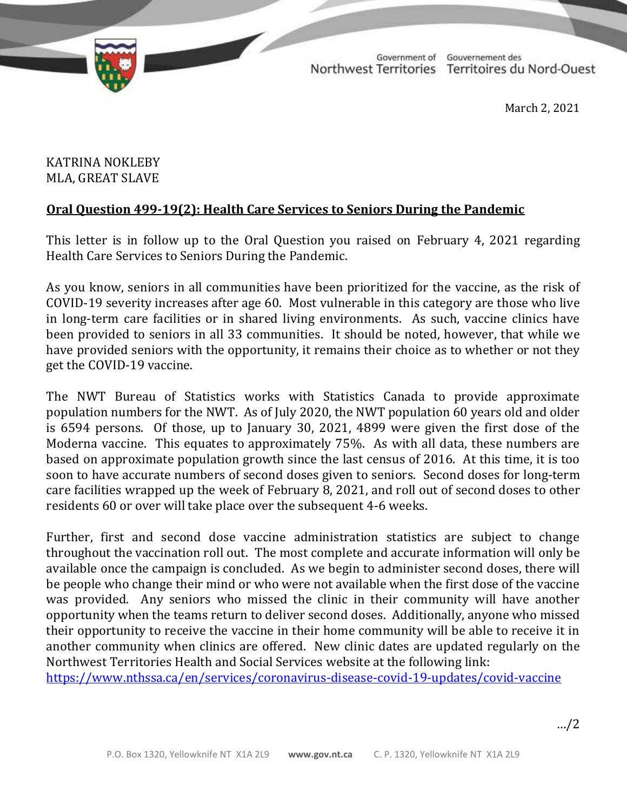

TD 336-19(2) TABLED ON MARCH 3, 2021

Government of Gouvernement des Northwest Territories Territoires du Nord-Ouest

March 2, 2021

## KATRINA NOKLEBY MLA, GREAT SLAVE

## **Oral Question 499-19(2): Health Care Services to Seniors During the Pandemic**

This letter is in follow up to the Oral Question you raised on February 4, 2021 regarding Health Care Services to Seniors During the Pandemic.

As you know, seniors in all communities have been prioritized for the vaccine, as the risk of COVID-19 severity increases after age 60. Most vulnerable in this category are those who live in long-term care facilities or in shared living environments. As such, vaccine clinics have been provided to seniors in all 33 communities. It should be noted, however, that while we have provided seniors with the opportunity, it remains their choice as to whether or not they get the COVID-19 vaccine.

The NWT Bureau of Statistics works with Statistics Canada to provide approximate population numbers for the NWT. As of July 2020, the NWT population 60 years old and older is 6594 persons. Of those, up to January 30, 2021, 4899 were given the first dose of the Moderna vaccine. This equates to approximately 75%. As with all data, these numbers are based on approximate population growth since the last census of 2016. At this time, it is too soon to have accurate numbers of second doses given to seniors. Second doses for long-term care facilities wrapped up the week of February 8, 2021, and roll out of second doses to other residents 60 or over will take place over the subsequent 4-6 weeks.

Further, first and second dose vaccine administration statistics are subject to change throughout the vaccination roll out. The most complete and accurate information will only be available once the campaign is concluded. As we begin to administer second doses, there will be people who change their mind or who were not available when the first dose of the vaccine was provided. Any seniors who missed the clinic in their community will have another opportunity when the teams return to deliver second doses. Additionally, anyone who missed their opportunity to receive the vaccine in their home community will be able to receive it in another community when clinics are offered. New clinic dates are updated regularly on the Northwest Territories Health and Social Services website at the following link:

<https://www.nthssa.ca/en/services/coronavirus-disease-covid-19-updates/covid-vaccine>